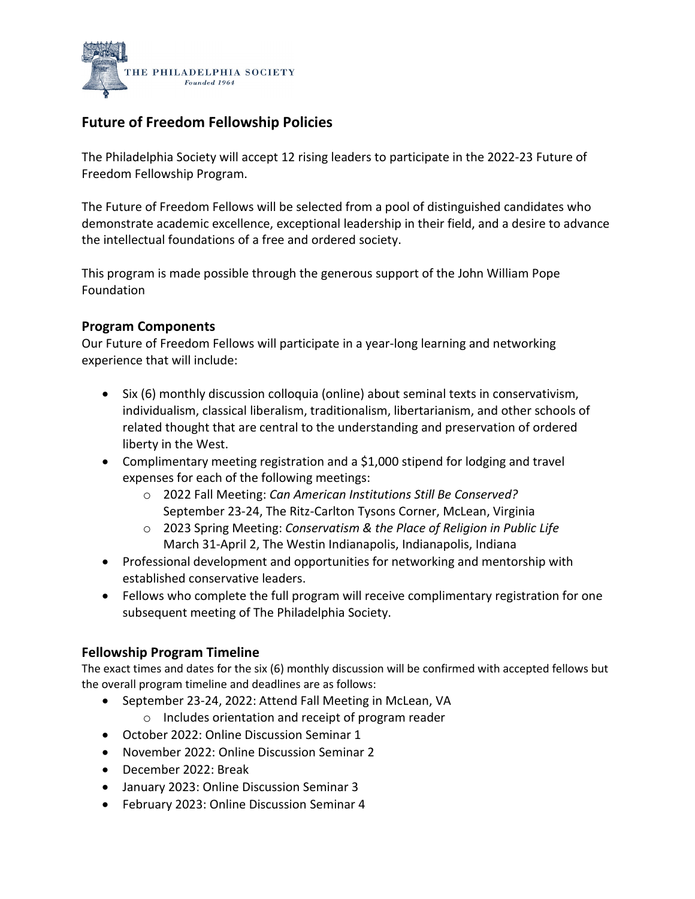

# **Future of Freedom Fellowship Policies**

The Philadelphia Society will accept 12 rising leaders to participate in the 2022-23 Future of Freedom Fellowship Program.

The Future of Freedom Fellows will be selected from a pool of distinguished candidates who demonstrate academic excellence, exceptional leadership in their field, and a desire to advance the intellectual foundations of a free and ordered society.

This program is made possible through the generous support of the John William Pope Foundation

## **Program Components**

Our Future of Freedom Fellows will participate in a year-long learning and networking experience that will include:

- Six (6) monthly discussion colloquia (online) about seminal texts in conservativism, individualism, classical liberalism, traditionalism, libertarianism, and other schools of related thought that are central to the understanding and preservation of ordered liberty in the West.
- Complimentary meeting registration and a \$1,000 stipend for lodging and travel expenses for each of the following meetings:
	- o [2022 Fall Meeting:](https://phillysoc.org/tps_meetings/fall-2022/) *[Can American Institutions Still Be Conserved?](https://phillysoc.org/tps_meetings/fall-2022/)*  September 23-24, The Ritz-Carlton Tysons Corner, McLean, Virginia
	- o [2023 Spring Meeting:](https://phillysoc.org/tps_meetings/spring-2023/) *[Conservatism & the Place of Religion in Public Life](https://phillysoc.org/tps_meetings/spring-2023/)* March 31-April 2, The Westin Indianapolis, Indianapolis, Indiana
- Professional development and opportunities for networking and mentorship with established conservative leaders.
- Fellows who complete the full program will receive complimentary registration for one subsequent meeting of The Philadelphia Society.

### **Fellowship Program Timeline**

The exact times and dates for the six (6) monthly discussion will be confirmed with accepted fellows but the overall program timeline and deadlines are as follows:

- September 23-24, 2022: Attend Fall Meeting in McLean, VA
	- o Includes orientation and receipt of program reader
- October 2022: Online Discussion Seminar 1
- November 2022: Online Discussion Seminar 2
- December 2022: Break
- January 2023: Online Discussion Seminar 3
- February 2023: Online Discussion Seminar 4